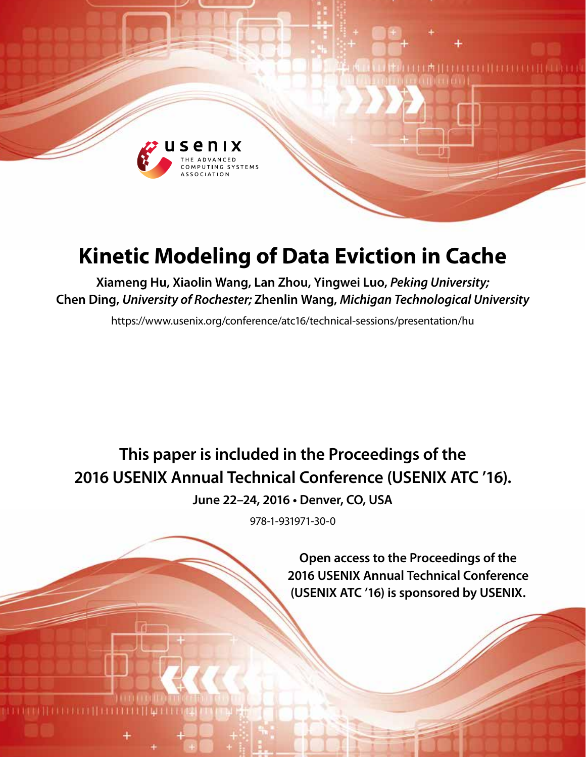

# **Kinetic Modeling of Data Eviction in Cache**

**Xiameng Hu, Xiaolin Wang, Lan Zhou, Yingwei Luo,** *Peking University;* **Chen Ding,** *University of Rochester;* **Zhenlin Wang,** *Michigan Technological University*

https://www.usenix.org/conference/atc16/technical-sessions/presentation/hu

**This paper is included in the Proceedings of the 2016 USENIX Annual Technical Conference (USENIX ATC '16).**

**June 22–24, 2016 • Denver, CO, USA**

978-1-931971-30-0

**Open access to the Proceedings of the 2016 USENIX Annual Technical Conference (USENIX ATC '16) is sponsored by USENIX.**

**LA HELLETI HELL**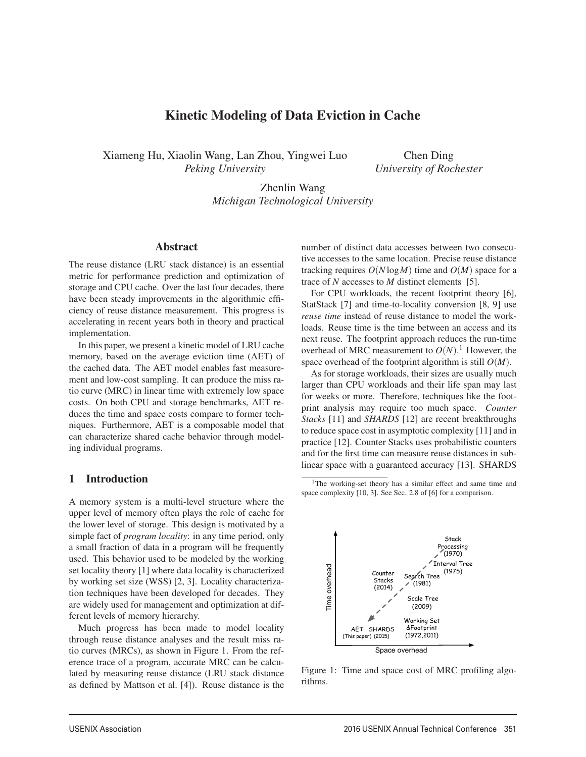## Kinetic Modeling of Data Eviction in Cache

Xiameng Hu, Xiaolin Wang, Lan Zhou, Yingwei Luo *Peking University*

Chen Ding *University of Rochester*

Zhenlin Wang *Michigan Technological University*

1

## Abstract

The reuse distance (LRU stack distance) is an essential metric for performance prediction and optimization of storage and CPU cache. Over the last four decades, there have been steady improvements in the algorithmic efficiency of reuse distance measurement. This progress is accelerating in recent years both in theory and practical implementation.

In this paper, we present a kinetic model of LRU cache memory, based on the average eviction time (AET) of the cached data. The AET model enables fast measurement and low-cost sampling. It can produce the miss ratio curve (MRC) in linear time with extremely low space costs. On both CPU and storage benchmarks, AET reduces the time and space costs compare to former techniques. Furthermore, AET is a composable model that can characterize shared cache behavior through modeling individual programs.

#### 1 Introduction

A memory system is a multi-level structure where the upper level of memory often plays the role of cache for the lower level of storage. This design is motivated by a simple fact of *program locality*: in any time period, only a small fraction of data in a program will be frequently used. This behavior used to be modeled by the working set locality theory [1] where data locality is characterized by working set size (WSS) [2, 3]. Locality characterization techniques have been developed for decades. They are widely used for management and optimization at different levels of memory hierarchy.

Much progress has been made to model locality through reuse distance analyses and the result miss ratio curves (MRCs), as shown in Figure 1. From the reference trace of a program, accurate MRC can be calculated by measuring reuse distance (LRU stack distance as defined by Mattson et al. [4]). Reuse distance is the number of distinct data accesses between two consecutive accesses to the same location. Precise reuse distance tracking requires  $O(N \log M)$  time and  $O(M)$  space for a trace of *N* accesses to *M* distinct elements [5].

For CPU workloads, the recent footprint theory [6], StatStack [7] and time-to-locality conversion [8, 9] use *reuse time* instead of reuse distance to model the workloads. Reuse time is the time between an access and its next reuse. The footprint approach reduces the run-time overhead of MRC measurement to  $O(N)$ .<sup>1</sup> However, the space overhead of the footprint algorithm is still *O*(*M*).

As for storage workloads, their sizes are usually much larger than CPU workloads and their life span may last for weeks or more. Therefore, techniques like the footprint analysis may require too much space. *Counter Stacks* [11] and *SHARDS* [12] are recent breakthroughs to reduce space cost in asymptotic complexity [11] and in practice [12]. Counter Stacks uses probabilistic counters and for the first time can measure reuse distances in sublinear space with a guaranteed accuracy [13]. SHARDS

<sup>&</sup>lt;sup>1</sup>The working-set theory has a similar effect and same time and space complexity [10, 3]. See Sec. 2.8 of [6] for a comparison.



Figure 1: Time and space cost of MRC profiling algorithms.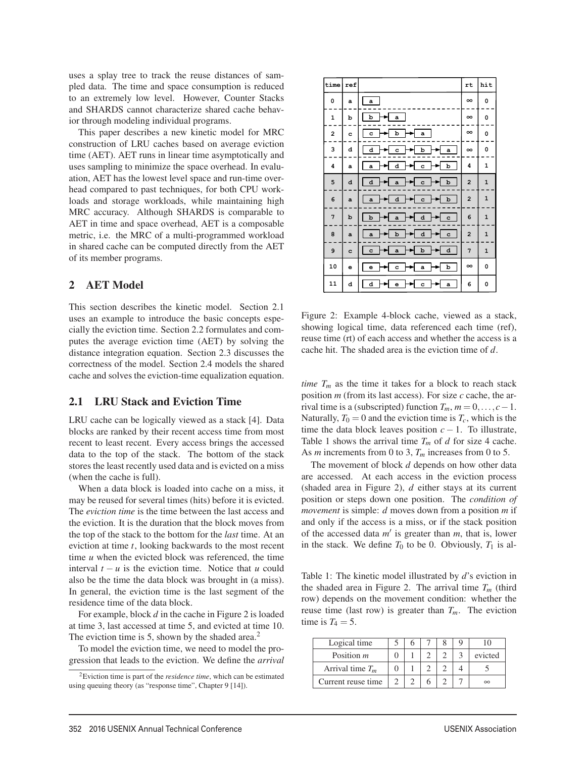uses a splay tree to track the reuse distances of sampled data. The time and space consumption is reduced to an extremely low level. However, Counter Stacks and SHARDS cannot characterize shared cache behavior through modeling individual programs.

This paper describes a new kinetic model for MRC construction of LRU caches based on average eviction time (AET). AET runs in linear time asymptotically and uses sampling to minimize the space overhead. In evaluation, AET has the lowest level space and run-time overhead compared to past techniques, for both CPU workloads and storage workloads, while maintaining high MRC accuracy. Although SHARDS is comparable to AET in time and space overhead, AET is a composable metric, i.e. the MRC of a multi-programmed workload in shared cache can be computed directly from the AET of its member programs.

### 2 AET Model

This section describes the kinetic model. Section 2.1 uses an example to introduce the basic concepts especially the eviction time. Section 2.2 formulates and computes the average eviction time (AET) by solving the distance integration equation. Section 2.3 discusses the correctness of the model. Section 2.4 models the shared cache and solves the eviction-time equalization equation.

### 2.1 LRU Stack and Eviction Time

LRU cache can be logically viewed as a stack [4]. Data blocks are ranked by their recent access time from most recent to least recent. Every access brings the accessed data to the top of the stack. The bottom of the stack stores the least recently used data and is evicted on a miss (when the cache is full).

When a data block is loaded into cache on a miss, it may be reused for several times (hits) before it is evicted. The *eviction time* is the time between the last access and the eviction. It is the duration that the block moves from the top of the stack to the bottom for the *last* time. At an eviction at time *t*, looking backwards to the most recent time *u* when the evicted block was referenced, the time interval  $t - u$  is the eviction time. Notice that  $u$  could also be the time the data block was brought in (a miss). In general, the eviction time is the last segment of the residence time of the data block.

For example, block *d* in the cache in Figure 2 is loaded at time 3, last accessed at time 5, and evicted at time 10. The eviction time is 5, shown by the shaded area.<sup>2</sup>

To model the eviction time, we need to model the progression that leads to the eviction. We define the *arrival*

2

| time                    | ref            |                                                  | rt             | hit          |
|-------------------------|----------------|--------------------------------------------------|----------------|--------------|
| 0                       | a              | $\bf a$                                          | $\infty$       | 0            |
| $\mathbf{1}$            | b              | p<br>a                                           | $\infty$       | 0            |
| $\overline{\mathbf{c}}$ | c              | b<br>c<br>$\mathbf{a}$                           | $\infty$       | 0            |
| з                       | d              | d<br>b<br>c<br>a                                 | $\infty$       | 0            |
| 4                       | $\mathbf{a}$   | d<br>b<br>$\mathbf{a}$<br>c                      | 4              | $\mathbf 1$  |
| 5                       | d              | d<br>$\mathbf b$<br>$\mathbf{a}$<br>$\mathbf{c}$ | $\overline{a}$ | $\mathbf 1$  |
| 6                       | $\overline{a}$ | d<br>$\mathbf b$<br>$\mathbf{a}$<br>$\mathbf{c}$ | $\overline{a}$ | $\mathbf 1$  |
| 7                       | b              | $\mathbf b$<br>${\bf d}$<br>c<br>$\mathbf{a}$    | 6              | $\mathbf 1$  |
| 8                       | $\overline{a}$ | d<br>b<br>$\mathbf{c}$<br>$\mathbf{a}$           | $\overline{2}$ | $\mathbf{1}$ |
| 9                       | c              | b<br>d<br>$\mathbf{c}$<br>$\mathbf{a}$           | 7              | $\mathbf 1$  |
| 10                      | e              | b<br>c<br>a<br>e                                 | $\infty$       | 0            |
| 11                      | d              | d<br>e<br>c<br>a                                 | 6              | 0            |

Figure 2: Example 4-block cache, viewed as a stack, showing logical time, data referenced each time (ref), reuse time (rt) of each access and whether the access is a cache hit. The shaded area is the eviction time of *d*.

*time*  $T_m$  as the time it takes for a block to reach stack position *m* (from its last access). For size *c* cache, the arrival time is a (subscripted) function  $T_m$ ,  $m = 0, \ldots, c-1$ . Naturally,  $T_0 = 0$  and the eviction time is  $T_c$ , which is the time the data block leaves position  $c - 1$ . To illustrate, Table 1 shows the arrival time  $T_m$  of *d* for size 4 cache. As *m* increments from 0 to 3, *Tm* increases from 0 to 5.

The movement of block *d* depends on how other data are accessed. At each access in the eviction process (shaded area in Figure 2), *d* either stays at its current position or steps down one position. The *condition of movement* is simple: *d* moves down from a position *m* if and only if the access is a miss, or if the stack position of the accessed data  $m'$  is greater than  $m$ , that is, lower in the stack. We define  $T_0$  to be 0. Obviously,  $T_1$  is al-

Table 1: The kinetic model illustrated by *d*'s eviction in the shaded area in Figure 2. The arrival time  $T_m$  (third row) depends on the movement condition: whether the reuse time (last row) is greater than  $T_m$ . The eviction time is  $T_4 = 5$ .

| Logical time       |  |  |          |
|--------------------|--|--|----------|
| Position <i>m</i>  |  |  | evicted  |
| Arrival time $T_m$ |  |  |          |
| Current reuse time |  |  | $\infty$ |

<sup>2</sup>Eviction time is part of the *residence time*, which can be estimated using queuing theory (as "response time", Chapter 9 [14]).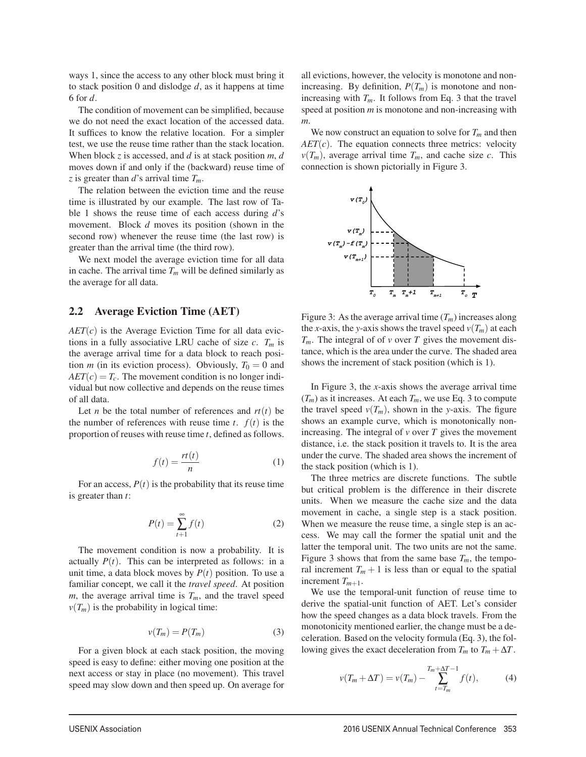ways 1, since the access to any other block must bring it to stack position 0 and dislodge *d*, as it happens at time 6 for *d*.

The condition of movement can be simplified, because we do not need the exact location of the accessed data. It suffices to know the relative location. For a simpler test, we use the reuse time rather than the stack location. When block *z* is accessed, and *d* is at stack position *m*, *d* moves down if and only if the (backward) reuse time of *z* is greater than *d*'s arrival time *Tm*.

The relation between the eviction time and the reuse time is illustrated by our example. The last row of Table 1 shows the reuse time of each access during *d*'s movement. Block *d* moves its position (shown in the second row) whenever the reuse time (the last row) is greater than the arrival time (the third row).

We next model the average eviction time for all data in cache. The arrival time  $T_m$  will be defined similarly as the average for all data.

#### 2.2 Average Eviction Time (AET)

 $AET(c)$  is the Average Eviction Time for all data evictions in a fully associative LRU cache of size  $c$ .  $T_m$  is the average arrival time for a data block to reach position *m* (in its eviction process). Obviously,  $T_0 = 0$  and  $AET(c) = T_c$ . The movement condition is no longer individual but now collective and depends on the reuse times of all data.

Let *n* be the total number of references and  $rt(t)$  be the number of references with reuse time  $t$ .  $f(t)$  is the proportion of reuses with reuse time *t*, defined as follows.

$$
f(t) = \frac{rt(t)}{n} \tag{1}
$$

For an access,  $P(t)$  is the probability that its reuse time is greater than *t*:

$$
P(t) = \sum_{t+1}^{\infty} f(t)
$$
 (2)

The movement condition is now a probability. It is actually  $P(t)$ . This can be interpreted as follows: in a unit time, a data block moves by  $P(t)$  position. To use a familiar concept, we call it the *travel speed*. At position *m*, the average arrival time is  $T_m$ , and the travel speed  $\nu(T_m)$  is the probability in logical time:

$$
v(T_m) = P(T_m) \tag{3}
$$

3

For a given block at each stack position, the moving speed is easy to define: either moving one position at the next access or stay in place (no movement). This travel speed may slow down and then speed up. On average for all evictions, however, the velocity is monotone and nonincreasing. By definition,  $P(T_m)$  is monotone and nonincreasing with  $T_m$ . It follows from Eq. 3 that the travel speed at position *m* is monotone and non-increasing with *m*.

We now construct an equation to solve for  $T_m$  and then *AET*(*c*). The equation connects three metrics: velocity  $v(T_m)$ , average arrival time  $T_m$ , and cache size *c*. This connection is shown pictorially in Figure 3.



Figure 3: As the average arrival time  $(T_m)$  increases along the *x*-axis, the *y*-axis shows the travel speed  $v(T_m)$  at each  $T_m$ . The integral of of *v* over *T* gives the movement distance, which is the area under the curve. The shaded area shows the increment of stack position (which is 1).

In Figure 3, the *x*-axis shows the average arrival time  $(T_m)$  as it increases. At each  $T_m$ , we use Eq. 3 to compute the travel speed  $v(T_m)$ , shown in the *y*-axis. The figure shows an example curve, which is monotonically nonincreasing. The integral of *v* over *T* gives the movement distance, i.e. the stack position it travels to. It is the area under the curve. The shaded area shows the increment of the stack position (which is 1).

The three metrics are discrete functions. The subtle but critical problem is the difference in their discrete units. When we measure the cache size and the data movement in cache, a single step is a stack position. When we measure the reuse time, a single step is an access. We may call the former the spatial unit and the latter the temporal unit. The two units are not the same. Figure 3 shows that from the same base  $T_m$ , the temporal increment  $T_m + 1$  is less than or equal to the spatial increment  $T_{m+1}$ .

We use the temporal-unit function of reuse time to derive the spatial-unit function of AET. Let's consider how the speed changes as a data block travels. From the monotonicity mentioned earlier, the change must be a deceleration. Based on the velocity formula (Eq. 3), the following gives the exact deceleration from  $T_m$  to  $T_m + \Delta T$ .

$$
v(T_m + \Delta T) = v(T_m) - \sum_{t=T_m}^{T_m + \Delta T - 1} f(t),
$$
 (4)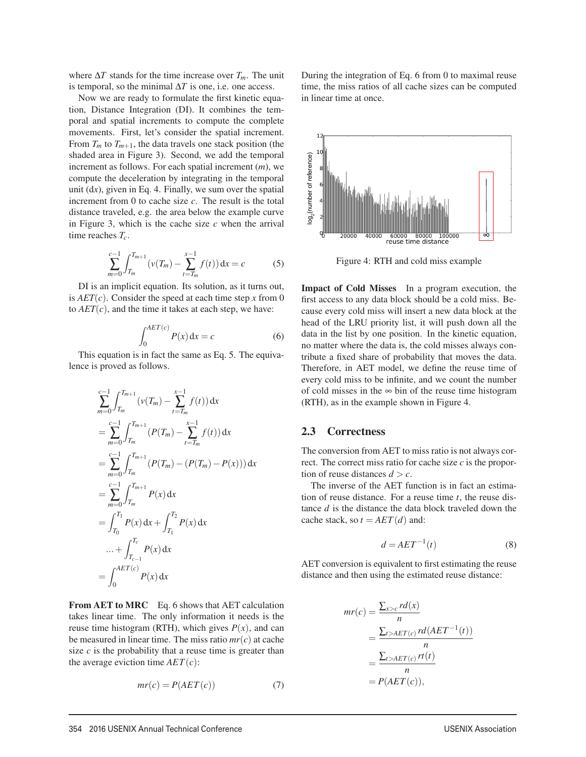where ∆*T* stands for the time increase over *Tm*. The unit is temporal, so the minimal  $\Delta T$  is one, i.e. one access.

Now we are ready to formulate the first kinetic equation, Distance Integration (DI). It combines the temporal and spatial increments to compute the complete movements. First, let's consider the spatial increment. From  $T_m$  to  $T_{m+1}$ , the data travels one stack position (the shaded area in Figure 3). Second, we add the temporal increment as follows. For each spatial increment (*m*), we compute the deceleration by integrating in the temporal unit (d*x*), given in Eq. 4. Finally, we sum over the spatial increment from 0 to cache size *c*. The result is the total distance traveled, e.g. the area below the example curve in Figure 3, which is the cache size *c* when the arrival time reaches  $T_c$ .

$$
\sum_{m=0}^{c-1} \int_{T_m}^{T_{m+1}} \left( v(T_m) - \sum_{t=T_m}^{x-1} f(t) \right) dx = c \tag{5}
$$

DI is an implicit equation. Its solution, as it turns out, is  $AET(c)$ . Consider the speed at each time step x from 0 to  $AET(c)$ , and the time it takes at each step, we have:

$$
\int_0^{AET(c)} P(x) dx = c \tag{6}
$$

This equation is in fact the same as Eq. 5. The equivalence is proved as follows.

$$
\sum_{m=0}^{c-1} \int_{T_m}^{T_{m+1}} (\nu(T_m) - \sum_{t=T_m}^{x-1} f(t)) dx
$$
  
\n
$$
= \sum_{m=0}^{c-1} \int_{T_m}^{T_{m+1}} (P(T_m) - \sum_{t=T_m}^{x-1} f(t)) dx
$$
  
\n
$$
= \sum_{m=0}^{c-1} \int_{T_m}^{T_{m+1}} (P(T_m) - (P(T_m) - P(x))) dx
$$
  
\n
$$
= \sum_{m=0}^{c-1} \int_{T_m}^{T_{m+1}} P(x) dx
$$
  
\n
$$
= \int_{T_0}^{T_1} P(x) dx + \int_{T_1}^{T_2} P(x) dx
$$
  
\n
$$
= \int_{0}^{AET(c)} P(x) dx
$$

From AET to MRC Eq. 6 shows that AET calculation takes linear time. The only information it needs is the reuse time histogram (RTH), which gives  $P(x)$ , and can be measured in linear time. The miss ratio  $mr(c)$  at cache size  $c$  is the probability that a reuse time is greater than the average eviction time  $AET(c)$ :

$$
mr(c) = P(AET(c))\tag{7}
$$

4

During the integration of Eq. 6 from 0 to maximal reuse time, the miss ratios of all cache sizes can be computed in linear time at once.



Figure 4: RTH and cold miss example

Impact of Cold Misses In a program execution, the first access to any data block should be a cold miss. Because every cold miss will insert a new data block at the head of the LRU priority list, it will push down all the data in the list by one position. In the kinetic equation, no matter where the data is, the cold misses always contribute a fixed share of probability that moves the data. Therefore, in AET model, we define the reuse time of every cold miss to be infinite, and we count the number of cold misses in the  $\infty$  bin of the reuse time histogram (RTH), as in the example shown in Figure 4.

### 2.3 Correctness

The conversion from AET to miss ratio is not always correct. The correct miss ratio for cache size *c* is the proportion of reuse distances  $d > c$ .

The inverse of the AET function is in fact an estimation of reuse distance. For a reuse time *t*, the reuse distance *d* is the distance the data block traveled down the cache stack, so  $t = AET(d)$  and:

$$
d = AET^{-1}(t) \tag{8}
$$

AET conversion is equivalent to first estimating the reuse distance and then using the estimated reuse distance:

$$
mr(c) = \frac{\sum_{x>c} rd(x)}{n}
$$
  
= 
$$
\frac{\sum_{t>AET(c)} rd(AET^{-1}(t))}{n}
$$
  
= 
$$
\frac{\sum_{t>AET(c)} rt(t)}{n}
$$
  
= 
$$
P(AET(c)),
$$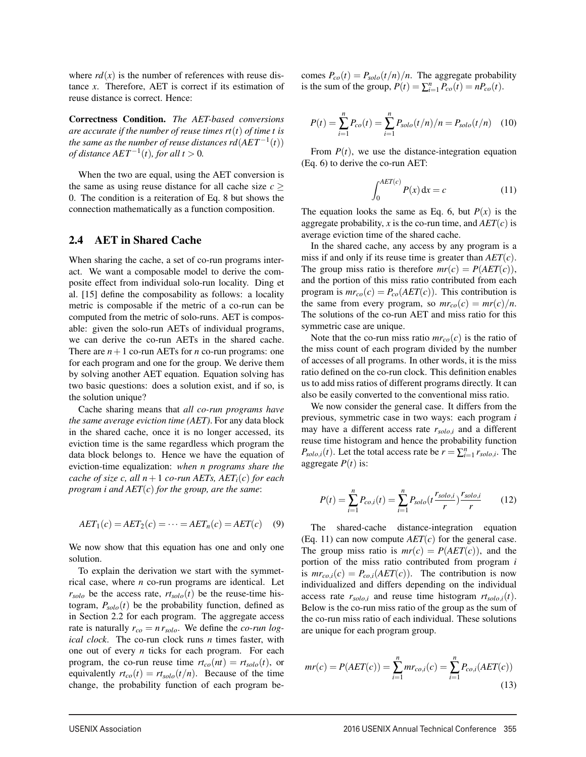where  $rd(x)$  is the number of references with reuse distance *x*. Therefore, AET is correct if its estimation of reuse distance is correct. Hence:

Correctness Condition. *The AET-based conversions are accurate if the number of reuse times rt*(*t*) *of time t is the same as the number of reuse distances rd*( $AET^{-1}(t)$ ) *of distance*  $AET^{-1}(t)$ *, for all t* > 0*.* 

When the two are equal, using the AET conversion is the same as using reuse distance for all cache size  $c$  > 0. The condition is a reiteration of Eq. 8 but shows the connection mathematically as a function composition.

#### 2.4 AET in Shared Cache

When sharing the cache, a set of co-run programs interact. We want a composable model to derive the composite effect from individual solo-run locality. Ding et al. [15] define the composability as follows: a locality metric is composable if the metric of a co-run can be computed from the metric of solo-runs. AET is composable: given the solo-run AETs of individual programs, we can derive the co-run AETs in the shared cache. There are  $n+1$  co-run AETs for *n* co-run programs: one for each program and one for the group. We derive them by solving another AET equation. Equation solving has two basic questions: does a solution exist, and if so, is the solution unique?

Cache sharing means that *all co-run programs have the same average eviction time (AET)*. For any data block in the shared cache, once it is no longer accessed, its eviction time is the same regardless which program the data block belongs to. Hence we have the equation of eviction-time equalization: *when n programs share the cache of size c, all*  $n+1$  *co-run AETs, AET<sub>i</sub>(<i>c*) *for each program i and AET*(*c*) *for the group, are the same*:

$$
AET_1(c) = AET_2(c) = \dots = AET_n(c) = AET(c) \quad (9)
$$

We now show that this equation has one and only one solution.

To explain the derivation we start with the symmetrical case, where *n* co-run programs are identical. Let  $r_{\text{solo}}$  be the access rate,  $rt_{\text{solo}}(t)$  be the reuse-time histogram,  $P_{\text{solo}}(t)$  be the probability function, defined as in Section 2.2 for each program. The aggregate access rate is naturally  $r_{co} = n r_{\text{solo}}$ . We define the *co-run logical clock*. The co-run clock runs *n* times faster, with one out of every *n* ticks for each program. For each program, the co-run reuse time  $rt_{co}(nt) = rt_{solo}(t)$ , or equivalently  $rt_{co}(t) = rt_{solo}(t/n)$ . Because of the time change, the probability function of each program becomes  $P_{co}(t) = P_{solo}(t/n)/n$ . The aggregate probability is the sum of the group,  $P(t) = \sum_{i=1}^{n} P_{co}(t) = nP_{co}(t)$ .

$$
P(t) = \sum_{i=1}^{n} P_{co}(t) = \sum_{i=1}^{n} P_{solo}(t/n)/n = P_{solo}(t/n) \quad (10)
$$

From  $P(t)$ , we use the distance-integration equation (Eq. 6) to derive the co-run AET:

$$
\int_0^{AET(c)} P(x) dx = c \tag{11}
$$

The equation looks the same as Eq. 6, but  $P(x)$  is the aggregate probability, x is the co-run time, and  $AET(c)$  is average eviction time of the shared cache.

In the shared cache, any access by any program is a miss if and only if its reuse time is greater than *AET*(*c*). The group miss ratio is therefore  $mr(c) = P(AET(c))$ , and the portion of this miss ratio contributed from each program is  $mr_{co}(c) = P_{co}(AET(c))$ . This contribution is the same from every program, so  $mr_{co}(c) = mr(c)/n$ . The solutions of the co-run AET and miss ratio for this symmetric case are unique.

Note that the co-run miss ratio  $mr_{co}(c)$  is the ratio of the miss count of each program divided by the number of accesses of all programs. In other words, it is the miss ratio defined on the co-run clock. This definition enables us to add miss ratios of different programs directly. It can also be easily converted to the conventional miss ratio.

We now consider the general case. It differs from the previous, symmetric case in two ways: each program *i* may have a different access rate *rsolo*,*<sup>i</sup>* and a different reuse time histogram and hence the probability function  $P_{\text{solo},i}(t)$ . Let the total access rate be  $r = \sum_{i=1}^{n} r_{\text{solo},i}$ . The aggregate  $P(t)$  is:

$$
P(t) = \sum_{i=1}^{n} P_{co,i}(t) = \sum_{i=1}^{n} P_{solo}(t \frac{r_{solo,i}}{r}) \frac{r_{solo,i}}{r}
$$
 (12)

The shared-cache distance-integration equation (Eq. 11) can now compute  $AET(c)$  for the general case. The group miss ratio is  $mr(c) = P(AET(c))$ , and the portion of the miss ratio contributed from program *i* is  $mr_{co,i}(c) = P_{co,i}(AET(c))$ . The contribution is now individualized and differs depending on the individual access rate  $r_{\text{solo},i}$  and reuse time histogram  $rt_{\text{solo},i}(t)$ . Below is the co-run miss ratio of the group as the sum of the co-run miss ratio of each individual. These solutions are unique for each program group.

$$
mr(c) = P(AET(c)) = \sum_{i=1}^{n} mr_{co,i}(c) = \sum_{i=1}^{n} P_{co,i}(AET(c))
$$
\n(13)

5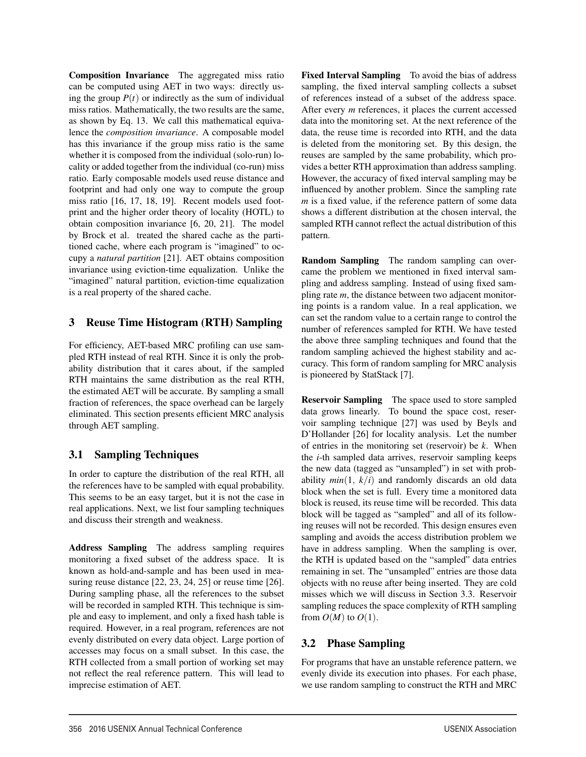Composition Invariance The aggregated miss ratio can be computed using AET in two ways: directly using the group  $P(t)$  or indirectly as the sum of individual miss ratios. Mathematically, the two results are the same, as shown by Eq. 13. We call this mathematical equivalence the *composition invariance*. A composable model has this invariance if the group miss ratio is the same whether it is composed from the individual (solo-run) locality or added together from the individual (co-run) miss ratio. Early composable models used reuse distance and footprint and had only one way to compute the group miss ratio [16, 17, 18, 19]. Recent models used footprint and the higher order theory of locality (HOTL) to obtain composition invariance [6, 20, 21]. The model by Brock et al. treated the shared cache as the partitioned cache, where each program is "imagined" to occupy a *natural partition* [21]. AET obtains composition invariance using eviction-time equalization. Unlike the "imagined" natural partition, eviction-time equalization is a real property of the shared cache.

## 3 Reuse Time Histogram (RTH) Sampling

For efficiency, AET-based MRC profiling can use sampled RTH instead of real RTH. Since it is only the probability distribution that it cares about, if the sampled RTH maintains the same distribution as the real RTH, the estimated AET will be accurate. By sampling a small fraction of references, the space overhead can be largely eliminated. This section presents efficient MRC analysis through AET sampling.

# 3.1 Sampling Techniques

In order to capture the distribution of the real RTH, all the references have to be sampled with equal probability. This seems to be an easy target, but it is not the case in real applications. Next, we list four sampling techniques and discuss their strength and weakness.

Address Sampling The address sampling requires monitoring a fixed subset of the address space. It is known as hold-and-sample and has been used in measuring reuse distance [22, 23, 24, 25] or reuse time [26]. During sampling phase, all the references to the subset will be recorded in sampled RTH. This technique is simple and easy to implement, and only a fixed hash table is required. However, in a real program, references are not evenly distributed on every data object. Large portion of accesses may focus on a small subset. In this case, the RTH collected from a small portion of working set may not reflect the real reference pattern. This will lead to imprecise estimation of AET.

Fixed Interval Sampling To avoid the bias of address sampling, the fixed interval sampling collects a subset of references instead of a subset of the address space. After every *m* references, it places the current accessed data into the monitoring set. At the next reference of the data, the reuse time is recorded into RTH, and the data is deleted from the monitoring set. By this design, the reuses are sampled by the same probability, which provides a better RTH approximation than address sampling. However, the accuracy of fixed interval sampling may be influenced by another problem. Since the sampling rate *m* is a fixed value, if the reference pattern of some data shows a different distribution at the chosen interval, the sampled RTH cannot reflect the actual distribution of this pattern.

Random Sampling The random sampling can overcame the problem we mentioned in fixed interval sampling and address sampling. Instead of using fixed sampling rate *m*, the distance between two adjacent monitoring points is a random value. In a real application, we can set the random value to a certain range to control the number of references sampled for RTH. We have tested the above three sampling techniques and found that the random sampling achieved the highest stability and accuracy. This form of random sampling for MRC analysis is pioneered by StatStack [7].

Reservoir Sampling The space used to store sampled data grows linearly. To bound the space cost, reservoir sampling technique [27] was used by Beyls and D'Hollander [26] for locality analysis. Let the number of entries in the monitoring set (reservoir) be *k*. When the *i*-th sampled data arrives, reservoir sampling keeps the new data (tagged as "unsampled") in set with probability  $min(1, k/i)$  and randomly discards an old data block when the set is full. Every time a monitored data block is reused, its reuse time will be recorded. This data block will be tagged as "sampled" and all of its following reuses will not be recorded. This design ensures even sampling and avoids the access distribution problem we have in address sampling. When the sampling is over, the RTH is updated based on the "sampled" data entries remaining in set. The "unsampled" entries are those data objects with no reuse after being inserted. They are cold misses which we will discuss in Section 3.3. Reservoir sampling reduces the space complexity of RTH sampling from  $O(M)$  to  $O(1)$ .

# 3.2 Phase Sampling

6

For programs that have an unstable reference pattern, we evenly divide its execution into phases. For each phase, we use random sampling to construct the RTH and MRC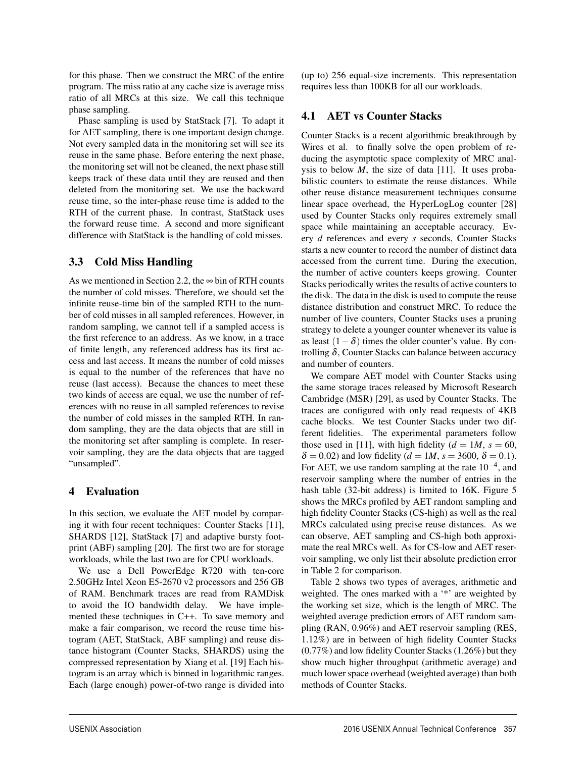for this phase. Then we construct the MRC of the entire program. The miss ratio at any cache size is average miss ratio of all MRCs at this size. We call this technique phase sampling.

Phase sampling is used by StatStack [7]. To adapt it for AET sampling, there is one important design change. Not every sampled data in the monitoring set will see its reuse in the same phase. Before entering the next phase, the monitoring set will not be cleaned, the next phase still keeps track of these data until they are reused and then deleted from the monitoring set. We use the backward reuse time, so the inter-phase reuse time is added to the RTH of the current phase. In contrast, StatStack uses the forward reuse time. A second and more significant difference with StatStack is the handling of cold misses.

## 3.3 Cold Miss Handling

As we mentioned in Section 2.2, the  $\infty$  bin of RTH counts the number of cold misses. Therefore, we should set the infinite reuse-time bin of the sampled RTH to the number of cold misses in all sampled references. However, in random sampling, we cannot tell if a sampled access is the first reference to an address. As we know, in a trace of finite length, any referenced address has its first access and last access. It means the number of cold misses is equal to the number of the references that have no reuse (last access). Because the chances to meet these two kinds of access are equal, we use the number of references with no reuse in all sampled references to revise the number of cold misses in the sampled RTH. In random sampling, they are the data objects that are still in the monitoring set after sampling is complete. In reservoir sampling, they are the data objects that are tagged "unsampled".

## 4 Evaluation

In this section, we evaluate the AET model by comparing it with four recent techniques: Counter Stacks [11], SHARDS [12], StatStack [7] and adaptive bursty footprint (ABF) sampling [20]. The first two are for storage workloads, while the last two are for CPU workloads.

We use a Dell PowerEdge R720 with ten-core 2.50GHz Intel Xeon E5-2670 v2 processors and 256 GB of RAM. Benchmark traces are read from RAMDisk to avoid the IO bandwidth delay. We have implemented these techniques in C++. To save memory and make a fair comparison, we record the reuse time histogram (AET, StatStack, ABF sampling) and reuse distance histogram (Counter Stacks, SHARDS) using the compressed representation by Xiang et al. [19] Each histogram is an array which is binned in logarithmic ranges. Each (large enough) power-of-two range is divided into

7

(up to) 256 equal-size increments. This representation requires less than 100KB for all our workloads.

## 4.1 AET vs Counter Stacks

Counter Stacks is a recent algorithmic breakthrough by Wires et al. to finally solve the open problem of reducing the asymptotic space complexity of MRC analysis to below  $M$ , the size of data [11]. It uses probabilistic counters to estimate the reuse distances. While other reuse distance measurement techniques consume linear space overhead, the HyperLogLog counter [28] used by Counter Stacks only requires extremely small space while maintaining an acceptable accuracy. Every *d* references and every *s* seconds, Counter Stacks starts a new counter to record the number of distinct data accessed from the current time. During the execution, the number of active counters keeps growing. Counter Stacks periodically writes the results of active counters to the disk. The data in the disk is used to compute the reuse distance distribution and construct MRC. To reduce the number of live counters, Counter Stacks uses a pruning strategy to delete a younger counter whenever its value is as least  $(1-\delta)$  times the older counter's value. By controlling δ, Counter Stacks can balance between accuracy and number of counters.

We compare AET model with Counter Stacks using the same storage traces released by Microsoft Research Cambridge (MSR) [29], as used by Counter Stacks. The traces are configured with only read requests of 4KB cache blocks. We test Counter Stacks under two different fidelities. The experimental parameters follow those used in [11], with high fidelity  $(d = 1M, s = 60,$  $\delta = 0.02$ ) and low fidelity ( $d = 1M$ ,  $s = 3600$ ,  $\delta = 0.1$ ). For AET, we use random sampling at the rate  $10^{-4}$ , and reservoir sampling where the number of entries in the hash table (32-bit address) is limited to 16K. Figure 5 shows the MRCs profiled by AET random sampling and high fidelity Counter Stacks (CS-high) as well as the real MRCs calculated using precise reuse distances. As we can observe, AET sampling and CS-high both approximate the real MRCs well. As for CS-low and AET reservoir sampling, we only list their absolute prediction error in Table 2 for comparison.

Table 2 shows two types of averages, arithmetic and weighted. The ones marked with a '\*' are weighted by the working set size, which is the length of MRC. The weighted average prediction errors of AET random sampling (RAN, 0.96%) and AET reservoir sampling (RES, 1.12%) are in between of high fidelity Counter Stacks (0.77%) and low fidelity Counter Stacks (1.26%) but they show much higher throughput (arithmetic average) and much lower space overhead (weighted average) than both methods of Counter Stacks.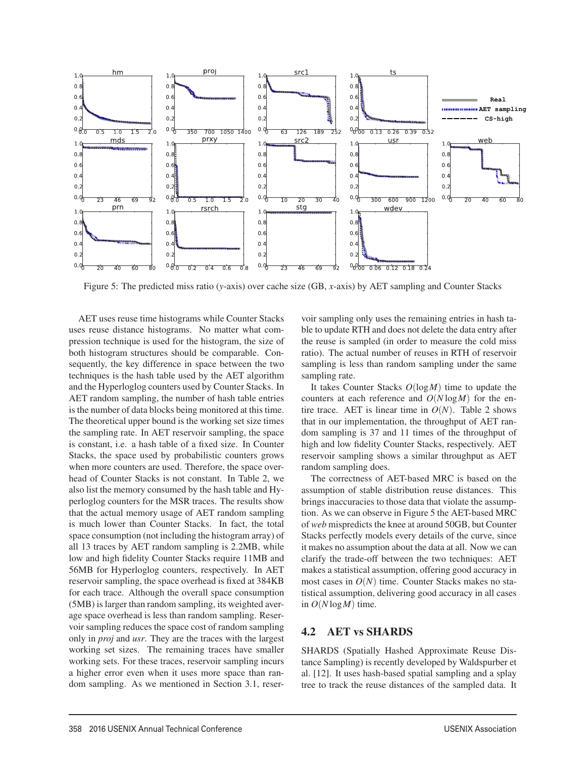

Figure 5: The predicted miss ratio (*y*-axis) over cache size (GB, *x*-axis) by AET sampling and Counter Stacks

AET uses reuse time histograms while Counter Stacks uses reuse distance histograms. No matter what compression technique is used for the histogram, the size of both histogram structures should be comparable. Consequently, the key difference in space between the two techniques is the hash table used by the AET algorithm and the Hyperloglog counters used by Counter Stacks. In AET random sampling, the number of hash table entries is the number of data blocks being monitored at this time. The theoretical upper bound is the working set size times the sampling rate. In AET reservoir sampling, the space is constant, i.e. a hash table of a fixed size. In Counter Stacks, the space used by probabilistic counters grows when more counters are used. Therefore, the space overhead of Counter Stacks is not constant. In Table 2, we also list the memory consumed by the hash table and Hyperloglog counters for the MSR traces. The results show that the actual memory usage of AET random sampling is much lower than Counter Stacks. In fact, the total space consumption (not including the histogram array) of all 13 traces by AET random sampling is 2.2MB, while low and high fidelity Counter Stacks require 11MB and 56MB for Hyperloglog counters, respectively. In AET reservoir sampling, the space overhead is fixed at 384KB for each trace. Although the overall space consumption (5MB) is larger than random sampling, its weighted average space overhead is less than random sampling. Reservoir sampling reduces the space cost of random sampling only in *proj* and *usr*. They are the traces with the largest working set sizes. The remaining traces have smaller working sets. For these traces, reservoir sampling incurs a higher error even when it uses more space than random sampling. As we mentioned in Section 3.1, reservoir sampling only uses the remaining entries in hash table to update RTH and does not delete the data entry after the reuse is sampled (in order to measure the cold miss ratio). The actual number of reuses in RTH of reservoir sampling is less than random sampling under the same sampling rate.

It takes Counter Stacks *O*(log*M*) time to update the counters at each reference and  $O(N \log M)$  for the entire trace. AET is linear time in  $O(N)$ . Table 2 shows that in our implementation, the throughput of AET random sampling is 37 and 11 times of the throughput of high and low fidelity Counter Stacks, respectively. AET reservoir sampling shows a similar throughput as AET random sampling does.

The correctness of AET-based MRC is based on the assumption of stable distribution reuse distances. This brings inaccuracies to those data that violate the assumption. As we can observe in Figure 5 the AET-based MRC of *web* mispredicts the knee at around 50GB, but Counter Stacks perfectly models every details of the curve, since it makes no assumption about the data at all. Now we can clarify the trade-off between the two techniques: AET makes a statistical assumption, offering good accuracy in most cases in  $O(N)$  time. Counter Stacks makes no statistical assumption, delivering good accuracy in all cases in  $O(N \log M)$  time.

## 4.2 AET vs SHARDS

8

SHARDS (Spatially Hashed Approximate Reuse Distance Sampling) is recently developed by Waldspurber et al. [12]. It uses hash-based spatial sampling and a splay tree to track the reuse distances of the sampled data. It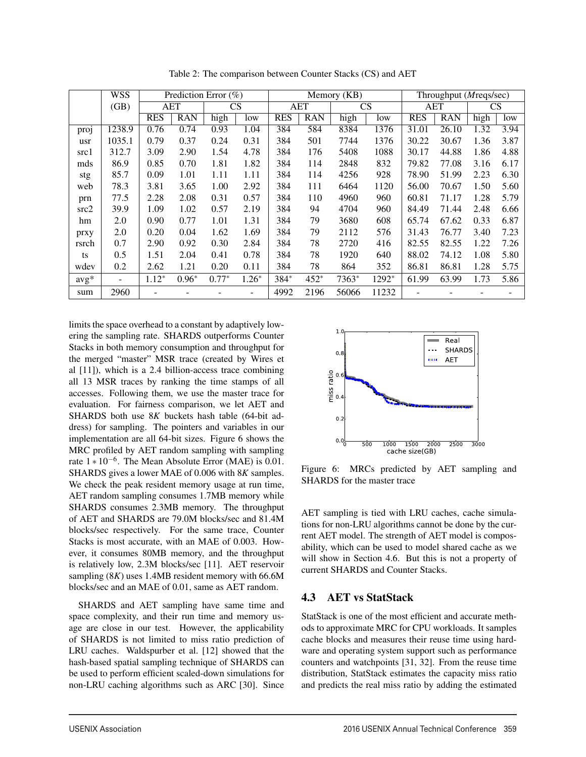|        | <b>WSS</b>        | Prediction Error $(\%)$ |            |         | Memory (KB) |            |            |       | Throughput ( <i>Mreqs/sec</i> ) |            |            |      |      |
|--------|-------------------|-------------------------|------------|---------|-------------|------------|------------|-------|---------------------------------|------------|------------|------|------|
|        | (GB)              | <b>AET</b>              |            | CS      |             | <b>AET</b> |            | CS    |                                 | <b>AET</b> |            | CS   |      |
|        |                   | <b>RES</b>              | <b>RAN</b> | high    | low         | <b>RES</b> | <b>RAN</b> | high  | low                             | <b>RES</b> | <b>RAN</b> | high | low  |
| proj   | 1238.9            | 0.76                    | 0.74       | 0.93    | 1.04        | 384        | 584        | 8384  | 1376                            | 31.01      | 26.10      | 1.32 | 3.94 |
| usr    | 1035.1            | 0.79                    | 0.37       | 0.24    | 0.31        | 384        | 501        | 7744  | 1376                            | 30.22      | 30.67      | 1.36 | 3.87 |
| src1   | 312.7             | 3.09                    | 2.90       | 1.54    | 4.78        | 384        | 176        | 5408  | 1088                            | 30.17      | 44.88      | 1.86 | 4.88 |
| mds    | 86.9              | 0.85                    | 0.70       | 1.81    | 1.82        | 384        | 114        | 2848  | 832                             | 79.82      | 77.08      | 3.16 | 6.17 |
| stg    | 85.7              | 0.09                    | 1.01       | 1.11    | 1.11        | 384        | 114        | 4256  | 928                             | 78.90      | 51.99      | 2.23 | 6.30 |
| web    | 78.3              | 3.81                    | 3.65       | 1.00    | 2.92        | 384        | 111        | 6464  | 1120                            | 56.00      | 70.67      | 1.50 | 5.60 |
| prn    | 77.5              | 2.28                    | 2.08       | 0.31    | 0.57        | 384        | 110        | 4960  | 960                             | 60.81      | 71.17      | 1.28 | 5.79 |
| src2   | 39.9              | 1.09                    | 1.02       | 0.57    | 2.19        | 384        | 94         | 4704  | 960                             | 84.49      | 71.44      | 2.48 | 6.66 |
| hm     | 2.0               | 0.90                    | 0.77       | 1.01    | 1.31        | 384        | 79         | 3680  | 608                             | 65.74      | 67.62      | 0.33 | 6.87 |
| prxy   | 2.0               | 0.20                    | 0.04       | 1.62    | 1.69        | 384        | 79         | 2112  | 576                             | 31.43      | 76.77      | 3.40 | 7.23 |
| rsrch  | 0.7               | 2.90                    | 0.92       | 0.30    | 2.84        | 384        | 78         | 2720  | 416                             | 82.55      | 82.55      | 1.22 | 7.26 |
| ts     | 0.5               | 1.51                    | 2.04       | 0.41    | 0.78        | 384        | 78         | 1920  | 640                             | 88.02      | 74.12      | 1.08 | 5.80 |
| wdev   | 0.2               | 2.62                    | 1.21       | 0.20    | 0.11        | 384        | 78         | 864   | 352                             | 86.81      | 86.81      | 1.28 | 5.75 |
| $avg*$ | $\qquad \qquad -$ | $1.12*$                 | $0.96*$    | $0.77*$ | $1.26*$     | 384*       | $452*$     | 7363* | 1292*                           | 61.99      | 63.99      | 1.73 | 5.86 |
| sum    | 2960              |                         |            |         |             | 4992       | 2196       | 56066 | 11232                           |            |            |      |      |

Table 2: The comparison between Counter Stacks (CS) and AET

limits the space overhead to a constant by adaptively lowering the sampling rate. SHARDS outperforms Counter Stacks in both memory consumption and throughput for the merged "master" MSR trace (created by Wires et al [11]), which is a 2.4 billion-access trace combining all 13 MSR traces by ranking the time stamps of all accesses. Following them, we use the master trace for evaluation. For fairness comparison, we let AET and SHARDS both use 8*K* buckets hash table (64-bit address) for sampling. The pointers and variables in our implementation are all 64-bit sizes. Figure 6 shows the MRC profiled by AET random sampling with sampling rate  $1 * 10^{-6}$ . The Mean Absolute Error (MAE) is 0.01. SHARDS gives a lower MAE of 0.006 with 8*K* samples. We check the peak resident memory usage at run time, AET random sampling consumes 1.7MB memory while SHARDS consumes 2.3MB memory. The throughput of AET and SHARDS are 79.0M blocks/sec and 81.4M blocks/sec respectively. For the same trace, Counter Stacks is most accurate, with an MAE of 0.003. However, it consumes 80MB memory, and the throughput is relatively low, 2.3M blocks/sec [11]. AET reservoir sampling (8*K*) uses 1.4MB resident memory with 66.6M blocks/sec and an MAE of 0.01, same as AET random.

SHARDS and AET sampling have same time and space complexity, and their run time and memory usage are close in our test. However, the applicability of SHARDS is not limited to miss ratio prediction of LRU caches. Waldspurber et al. [12] showed that the hash-based spatial sampling technique of SHARDS can be used to perform efficient scaled-down simulations for non-LRU caching algorithms such as ARC [30]. Since



Figure 6: MRCs predicted by AET sampling and SHARDS for the master trace

AET sampling is tied with LRU caches, cache simulations for non-LRU algorithms cannot be done by the current AET model. The strength of AET model is composability, which can be used to model shared cache as we will show in Section 4.6. But this is not a property of current SHARDS and Counter Stacks.

## 4.3 AET vs StatStack

9

StatStack is one of the most efficient and accurate methods to approximate MRC for CPU workloads. It samples cache blocks and measures their reuse time using hardware and operating system support such as performance counters and watchpoints [31, 32]. From the reuse time distribution, StatStack estimates the capacity miss ratio and predicts the real miss ratio by adding the estimated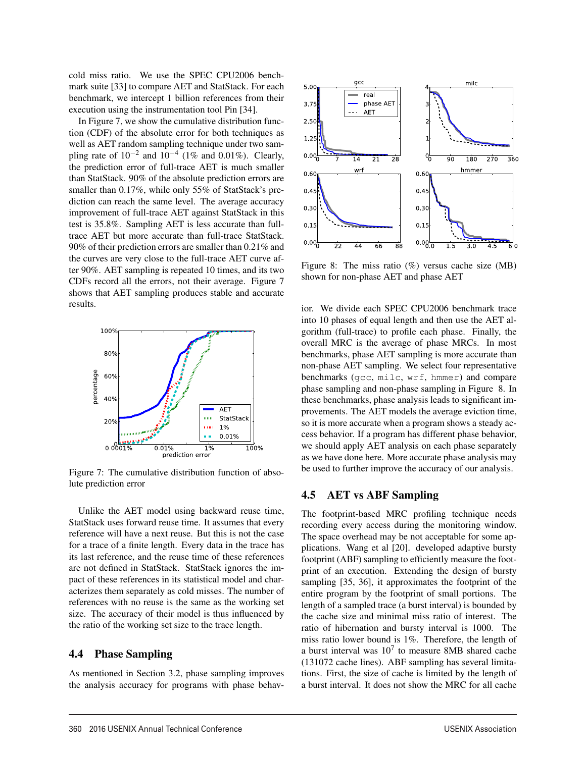cold miss ratio. We use the SPEC CPU2006 benchmark suite [33] to compare AET and StatStack. For each benchmark, we intercept 1 billion references from their execution using the instrumentation tool Pin [34].

In Figure 7, we show the cumulative distribution function (CDF) of the absolute error for both techniques as well as AET random sampling technique under two sampling rate of  $10^{-2}$  and  $10^{-4}$  (1% and 0.01%). Clearly, the prediction error of full-trace AET is much smaller than StatStack. 90% of the absolute prediction errors are smaller than 0.17%, while only 55% of StatStack's prediction can reach the same level. The average accuracy improvement of full-trace AET against StatStack in this test is 35.8%. Sampling AET is less accurate than fulltrace AET but more accurate than full-trace StatStack. 90% of their prediction errors are smaller than 0.21% and the curves are very close to the full-trace AET curve after 90%. AET sampling is repeated 10 times, and its two CDFs record all the errors, not their average. Figure 7 shows that AET sampling produces stable and accurate results.



Figure 7: The cumulative distribution function of absolute prediction error

Unlike the AET model using backward reuse time, StatStack uses forward reuse time. It assumes that every reference will have a next reuse. But this is not the case for a trace of a finite length. Every data in the trace has its last reference, and the reuse time of these references are not defined in StatStack. StatStack ignores the impact of these references in its statistical model and characterizes them separately as cold misses. The number of references with no reuse is the same as the working set size. The accuracy of their model is thus influenced by the ratio of the working set size to the trace length.

### 4.4 Phase Sampling

As mentioned in Section 3.2, phase sampling improves the analysis accuracy for programs with phase behav-



Figure 8: The miss ratio (%) versus cache size (MB) shown for non-phase AET and phase AET

ior. We divide each SPEC CPU2006 benchmark trace into 10 phases of equal length and then use the AET algorithm (full-trace) to profile each phase. Finally, the overall MRC is the average of phase MRCs. In most benchmarks, phase AET sampling is more accurate than non-phase AET sampling. We select four representative benchmarks (gcc, milc, wrf, hmmer) and compare phase sampling and non-phase sampling in Figure 8. In these benchmarks, phase analysis leads to significant improvements. The AET models the average eviction time, so it is more accurate when a program shows a steady access behavior. If a program has different phase behavior, we should apply AET analysis on each phase separately as we have done here. More accurate phase analysis may be used to further improve the accuracy of our analysis.

## 4.5 AET vs ABF Sampling

10

The footprint-based MRC profiling technique needs recording every access during the monitoring window. The space overhead may be not acceptable for some applications. Wang et al [20]. developed adaptive bursty footprint (ABF) sampling to efficiently measure the footprint of an execution. Extending the design of bursty sampling [35, 36], it approximates the footprint of the entire program by the footprint of small portions. The length of a sampled trace (a burst interval) is bounded by the cache size and minimal miss ratio of interest. The ratio of hibernation and bursty interval is 1000. The miss ratio lower bound is 1%. Therefore, the length of a burst interval was  $10<sup>7</sup>$  to measure 8MB shared cache (131072 cache lines). ABF sampling has several limitations. First, the size of cache is limited by the length of a burst interval. It does not show the MRC for all cache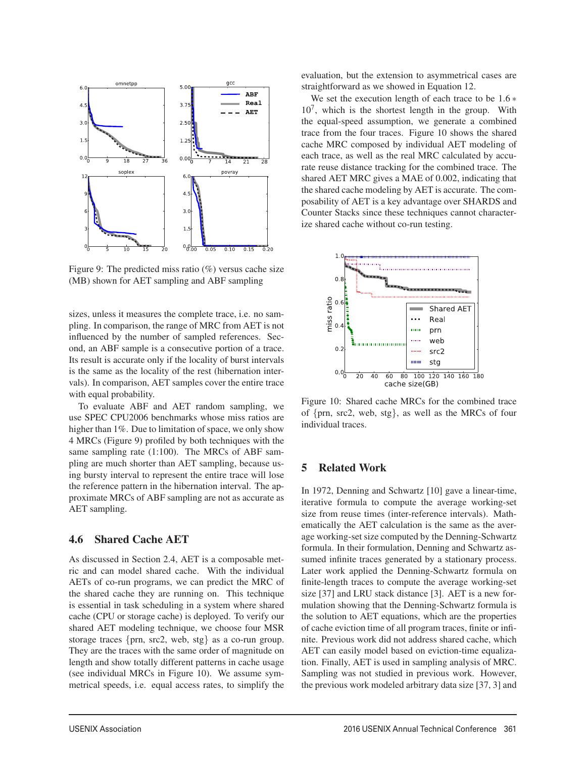

Figure 9: The predicted miss ratio  $(\%)$  versus cache size (MB) shown for AET sampling and ABF sampling

sizes, unless it measures the complete trace, i.e. no sampling. In comparison, the range of MRC from AET is not influenced by the number of sampled references. Second, an ABF sample is a consecutive portion of a trace. Its result is accurate only if the locality of burst intervals is the same as the locality of the rest (hibernation intervals). In comparison, AET samples cover the entire trace with equal probability.

To evaluate ABF and AET random sampling, we use SPEC CPU2006 benchmarks whose miss ratios are higher than 1%. Due to limitation of space, we only show 4 MRCs (Figure 9) profiled by both techniques with the same sampling rate (1:100). The MRCs of ABF sampling are much shorter than AET sampling, because using bursty interval to represent the entire trace will lose the reference pattern in the hibernation interval. The approximate MRCs of ABF sampling are not as accurate as AET sampling.

#### 4.6 Shared Cache AET

As discussed in Section 2.4, AET is a composable metric and can model shared cache. With the individual AETs of co-run programs, we can predict the MRC of the shared cache they are running on. This technique is essential in task scheduling in a system where shared cache (CPU or storage cache) is deployed. To verify our shared AET modeling technique, we choose four MSR storage traces {prn, src2, web, stg} as a co-run group. They are the traces with the same order of magnitude on length and show totally different patterns in cache usage (see individual MRCs in Figure 10). We assume symmetrical speeds, i.e. equal access rates, to simplify the evaluation, but the extension to asymmetrical cases are straightforward as we showed in Equation 12.

We set the execution length of each trace to be 1.6 ∗  $10<sup>7</sup>$ , which is the shortest length in the group. With the equal-speed assumption, we generate a combined trace from the four traces. Figure 10 shows the shared cache MRC composed by individual AET modeling of each trace, as well as the real MRC calculated by accurate reuse distance tracking for the combined trace. The shared AET MRC gives a MAE of 0.002, indicating that the shared cache modeling by AET is accurate. The composability of AET is a key advantage over SHARDS and Counter Stacks since these techniques cannot characterize shared cache without co-run testing.



Figure 10: Shared cache MRCs for the combined trace of {prn, src2, web, stg}, as well as the MRCs of four individual traces.

## 5 Related Work

11

In 1972, Denning and Schwartz [10] gave a linear-time, iterative formula to compute the average working-set size from reuse times (inter-reference intervals). Mathematically the AET calculation is the same as the average working-set size computed by the Denning-Schwartz formula. In their formulation, Denning and Schwartz assumed infinite traces generated by a stationary process. Later work applied the Denning-Schwartz formula on finite-length traces to compute the average working-set size [37] and LRU stack distance [3]. AET is a new formulation showing that the Denning-Schwartz formula is the solution to AET equations, which are the properties of cache eviction time of all program traces, finite or infinite. Previous work did not address shared cache, which AET can easily model based on eviction-time equalization. Finally, AET is used in sampling analysis of MRC. Sampling was not studied in previous work. However, the previous work modeled arbitrary data size [37, 3] and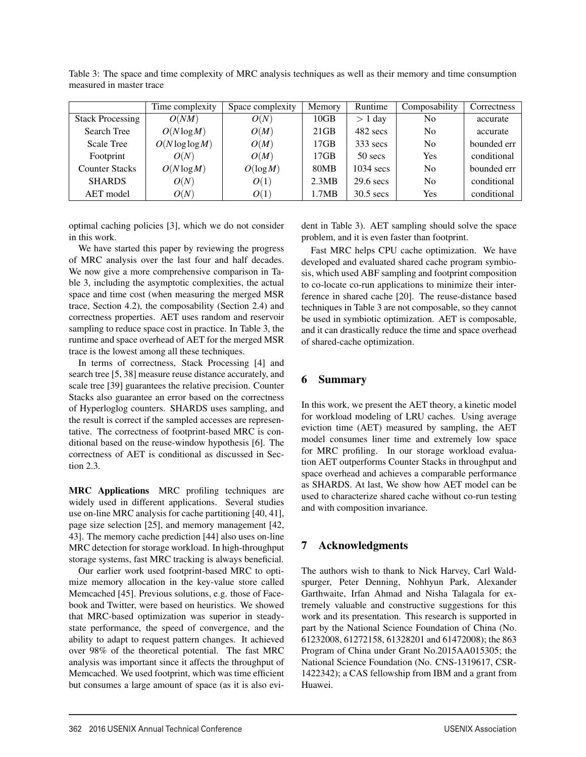|                         | Time complexity    | Space complexity | Memory | Runtime     | Composability  | Correctness |
|-------------------------|--------------------|------------------|--------|-------------|----------------|-------------|
| <b>Stack Processing</b> | O(NM)              | O(N)             | 10GB   | $> 1$ day   | N <sub>0</sub> | accurate    |
| Search Tree             | $O(N \log M)$      | O(M)             | 21GB   | 482 secs    | N <sub>0</sub> | accurate    |
| <b>Scale Tree</b>       | $O(N \log \log M)$ | O(M)             | 17GB   | $333$ secs  | N <sub>0</sub> | bounded err |
| Footprint               | O(N)               | O(M)             | 17GB   | $50$ secs   | Yes            | conditional |
| <b>Counter Stacks</b>   | $O(N \log M)$      | O(logM)          | 80MB   | $1034$ secs | N <sub>0</sub> | bounded err |
| <b>SHARDS</b>           | O(N)               | O(1)             | 2.3MB  | $29.6$ secs | N <sub>0</sub> | conditional |
| AET model               | O(N)               | O(1)             | 1.7MB  | $30.5$ secs | Yes            | conditional |

Table 3: The space and time complexity of MRC analysis techniques as well as their memory and time consumption measured in master trace

optimal caching policies [3], which we do not consider in this work.

We have started this paper by reviewing the progress of MRC analysis over the last four and half decades. We now give a more comprehensive comparison in Table 3, including the asymptotic complexities, the actual space and time cost (when measuring the merged MSR trace, Section 4.2), the composability (Section 2.4) and correctness properties. AET uses random and reservoir sampling to reduce space cost in practice. In Table 3, the runtime and space overhead of AET for the merged MSR trace is the lowest among all these techniques.

In terms of correctness, Stack Processing [4] and search tree [5, 38] measure reuse distance accurately, and scale tree [39] guarantees the relative precision. Counter Stacks also guarantee an error based on the correctness of Hyperloglog counters. SHARDS uses sampling, and the result is correct if the sampled accesses are representative. The correctness of footprint-based MRC is conditional based on the reuse-window hypothesis [6]. The correctness of AET is conditional as discussed in Section 2.3.

MRC Applications MRC profiling techniques are widely used in different applications. Several studies use on-line MRC analysis for cache partitioning [40, 41], page size selection [25], and memory management [42, 43]. The memory cache prediction [44] also uses on-line MRC detection for storage workload. In high-throughput storage systems, fast MRC tracking is always beneficial.

Our earlier work used footprint-based MRC to optimize memory allocation in the key-value store called Memcached [45]. Previous solutions, e.g. those of Facebook and Twitter, were based on heuristics. We showed that MRC-based optimization was superior in steadystate performance, the speed of convergence, and the ability to adapt to request pattern changes. It achieved over 98% of the theoretical potential. The fast MRC analysis was important since it affects the throughput of Memcached. We used footprint, which was time efficient but consumes a large amount of space (as it is also evident in Table 3). AET sampling should solve the space problem, and it is even faster than footprint.

Fast MRC helps CPU cache optimization. We have developed and evaluated shared cache program symbiosis, which used ABF sampling and footprint composition to co-locate co-run applications to minimize their interference in shared cache [20]. The reuse-distance based techniques in Table 3 are not composable, so they cannot be used in symbiotic optimization. AET is composable, and it can drastically reduce the time and space overhead of shared-cache optimization.

## 6 Summary

In this work, we present the AET theory, a kinetic model for workload modeling of LRU caches. Using average eviction time (AET) measured by sampling, the AET model consumes liner time and extremely low space for MRC profiling. In our storage workload evaluation AET outperforms Counter Stacks in throughput and space overhead and achieves a comparable performance as SHARDS. At last, We show how AET model can be used to characterize shared cache without co-run testing and with composition invariance.

# 7 Acknowledgments

12

The authors wish to thank to Nick Harvey, Carl Waldspurger, Peter Denning, Nohhyun Park, Alexander Garthwaite, Irfan Ahmad and Nisha Talagala for extremely valuable and constructive suggestions for this work and its presentation. This research is supported in part by the National Science Foundation of China (No. 61232008, 61272158, 61328201 and 61472008); the 863 Program of China under Grant No.2015AA015305; the National Science Foundation (No. CNS-1319617, CSR-1422342); a CAS fellowship from IBM and a grant from Huawei.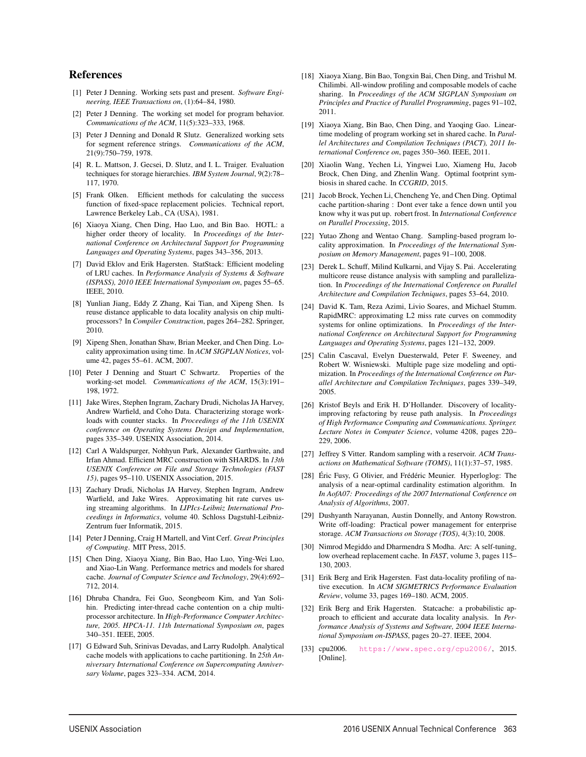## References

- [1] Peter J Denning. Working sets past and present. *Software Engineering, IEEE Transactions on*, (1):64–84, 1980.
- [2] Peter J Denning. The working set model for program behavior. *Communications of the ACM*, 11(5):323–333, 1968.
- [3] Peter J Denning and Donald R Slutz. Generalized working sets for segment reference strings. *Communications of the ACM*, 21(9):750–759, 1978.
- [4] R. L. Mattson, J. Gecsei, D. Slutz, and I. L. Traiger. Evaluation techniques for storage hierarchies. *IBM System Journal*, 9(2):78– 117, 1970.
- [5] Frank Olken. Efficient methods for calculating the success function of fixed-space replacement policies. Technical report, Lawrence Berkeley Lab., CA (USA), 1981.
- [6] Xiaoya Xiang, Chen Ding, Hao Luo, and Bin Bao. HOTL: a higher order theory of locality. In *Proceedings of the International Conference on Architectural Support for Programming Languages and Operating Systems*, pages 343–356, 2013.
- [7] David Eklov and Erik Hagersten. StatStack: Efficient modeling of LRU caches. In *Performance Analysis of Systems & Software (ISPASS), 2010 IEEE International Symposium on*, pages 55–65. IEEE, 2010.
- [8] Yunlian Jiang, Eddy Z Zhang, Kai Tian, and Xipeng Shen. Is reuse distance applicable to data locality analysis on chip multiprocessors? In *Compiler Construction*, pages 264–282. Springer, 2010.
- [9] Xipeng Shen, Jonathan Shaw, Brian Meeker, and Chen Ding. Locality approximation using time. In *ACM SIGPLAN Notices*, volume 42, pages 55–61. ACM, 2007.
- [10] Peter J Denning and Stuart C Schwartz. Properties of the working-set model. *Communications of the ACM*, 15(3):191– 198, 1972.
- [11] Jake Wires, Stephen Ingram, Zachary Drudi, Nicholas JA Harvey, Andrew Warfield, and Coho Data. Characterizing storage workloads with counter stacks. In *Proceedings of the 11th USENIX conference on Operating Systems Design and Implementation*, pages 335–349. USENIX Association, 2014.
- [12] Carl A Waldspurger, Nohhyun Park, Alexander Garthwaite, and Irfan Ahmad. Efficient MRC construction with SHARDS. In *13th USENIX Conference on File and Storage Technologies (FAST 15)*, pages 95–110. USENIX Association, 2015.
- [13] Zachary Drudi, Nicholas JA Harvey, Stephen Ingram, Andrew Warfield, and Jake Wires. Approximating hit rate curves using streaming algorithms. In *LIPIcs-Leibniz International Proceedings in Informatics*, volume 40. Schloss Dagstuhl-Leibniz-Zentrum fuer Informatik, 2015.
- [14] Peter J Denning, Craig H Martell, and Vint Cerf. *Great Principles of Computing*. MIT Press, 2015.
- [15] Chen Ding, Xiaoya Xiang, Bin Bao, Hao Luo, Ying-Wei Luo, and Xiao-Lin Wang. Performance metrics and models for shared cache. *Journal of Computer Science and Technology*, 29(4):692– 712, 2014.
- [16] Dhruba Chandra, Fei Guo, Seongbeom Kim, and Yan Solihin. Predicting inter-thread cache contention on a chip multiprocessor architecture. In *High-Performance Computer Architecture, 2005. HPCA-11. 11th International Symposium on*, pages 340–351. IEEE, 2005.
- [17] G Edward Suh, Srinivas Devadas, and Larry Rudolph. Analytical cache models with applications to cache partitioning. In *25th Anniversary International Conference on Supercomputing Anniversary Volume*, pages 323–334. ACM, 2014.

13

- [18] Xiaoya Xiang, Bin Bao, Tongxin Bai, Chen Ding, and Trishul M. Chilimbi. All-window profiling and composable models of cache sharing. In *Proceedings of the ACM SIGPLAN Symposium on Principles and Practice of Parallel Programming*, pages 91–102, 2011.
- [19] Xiaoya Xiang, Bin Bao, Chen Ding, and Yaoqing Gao. Lineartime modeling of program working set in shared cache. In *Parallel Architectures and Compilation Techniques (PACT), 2011 International Conference on*, pages 350–360. IEEE, 2011.
- [20] Xiaolin Wang, Yechen Li, Yingwei Luo, Xiameng Hu, Jacob Brock, Chen Ding, and Zhenlin Wang. Optimal footprint symbiosis in shared cache. In *CCGRID*, 2015.
- [21] Jacob Brock, Yechen Li, Chencheng Ye, and Chen Ding. Optimal cache partition-sharing : Dont ever take a fence down until you know why it was put up. robert frost. In *International Conference on Parallel Processing*, 2015.
- [22] Yutao Zhong and Wentao Chang. Sampling-based program locality approximation. In *Proceedings of the International Symposium on Memory Management*, pages 91–100, 2008.
- [23] Derek L. Schuff, Milind Kulkarni, and Vijay S. Pai. Accelerating multicore reuse distance analysis with sampling and parallelization. In *Proceedings of the International Conference on Parallel Architecture and Compilation Techniques*, pages 53–64, 2010.
- [24] David K. Tam, Reza Azimi, Livio Soares, and Michael Stumm. RapidMRC: approximating L2 miss rate curves on commodity systems for online optimizations. In *Proceedings of the International Conference on Architectural Support for Programming Languages and Operating Systems*, pages 121–132, 2009.
- [25] Calin Cascaval, Evelyn Duesterwald, Peter F. Sweeney, and Robert W. Wisniewski. Multiple page size modeling and optimization. In *Proceedings of the International Conference on Parallel Architecture and Compilation Techniques*, pages 339–349, 2005.
- [26] Kristof Beyls and Erik H. D'Hollander. Discovery of localityimproving refactoring by reuse path analysis. In *Proceedings of High Performance Computing and Communications. Springer. Lecture Notes in Computer Science*, volume 4208, pages 220– 229, 2006.
- [27] Jeffrey S Vitter. Random sampling with a reservoir. *ACM Transactions on Mathematical Software (TOMS)*, 11(1):37–57, 1985.
- [28] Éric Fusy, G Olivier, and Frédéric Meunier. Hyperloglog: The analysis of a near-optimal cardinality estimation algorithm. In *In AofA07: Proceedings of the 2007 International Conference on Analysis of Algorithms*, 2007.
- [29] Dushyanth Narayanan, Austin Donnelly, and Antony Rowstron. Write off-loading: Practical power management for enterprise storage. *ACM Transactions on Storage (TOS)*, 4(3):10, 2008.
- [30] Nimrod Megiddo and Dharmendra S Modha. Arc: A self-tuning, low overhead replacement cache. In *FAST*, volume 3, pages 115– 130, 2003.
- [31] Erik Berg and Erik Hagersten. Fast data-locality profiling of native execution. In *ACM SIGMETRICS Performance Evaluation Review*, volume 33, pages 169–180. ACM, 2005.
- [32] Erik Berg and Erik Hagersten. Statcache: a probabilistic approach to efficient and accurate data locality analysis. In *Performance Analysis of Systems and Software, 2004 IEEE International Symposium on-ISPASS*, pages 20–27. IEEE, 2004.
- [33] cpu2006. https://www.spec.org/cpu2006/, 2015. [Online].